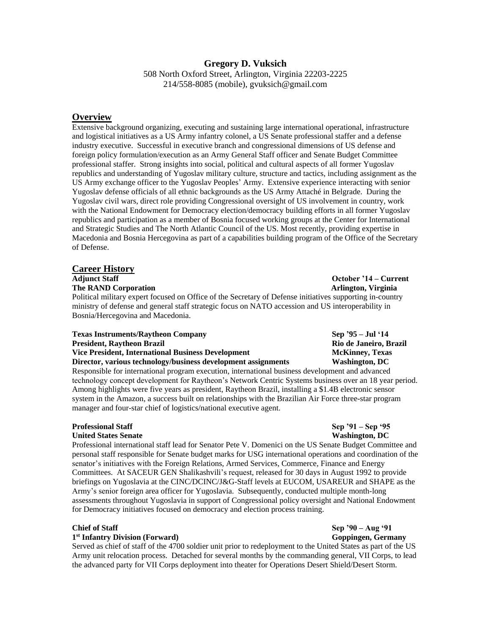# **Gregory D. Vuksich**

508 North Oxford Street, Arlington, Virginia 22203-2225 214/558-8085 (mobile), gvuksich@gmail.com

# **Overview**

Extensive background organizing, executing and sustaining large international operational, infrastructure and logistical initiatives as a US Army infantry colonel, a US Senate professional staffer and a defense industry executive. Successful in executive branch and congressional dimensions of US defense and foreign policy formulation/execution as an Army General Staff officer and Senate Budget Committee professional staffer. Strong insights into social, political and cultural aspects of all former Yugoslav republics and understanding of Yugoslav military culture, structure and tactics, including assignment as the US Army exchange officer to the Yugoslav Peoples' Army. Extensive experience interacting with senior Yugoslav defense officials of all ethnic backgrounds as the US Army Attaché in Belgrade. During the Yugoslav civil wars, direct role providing Congressional oversight of US involvement in country, work with the National Endowment for Democracy election/democracy building efforts in all former Yugoslav republics and participation as a member of Bosnia focused working groups at the Center for International and Strategic Studies and The North Atlantic Council of the US. Most recently, providing expertise in Macedonia and Bosnia Hercegovina as part of a capabilities building program of the Office of the Secretary of Defense.

# **Career History**

**The RAND Corporation Arlington, Virginia** 

Political military expert focused on Office of the Secretary of Defense initiatives supporting in-country ministry of defense and general staff strategic focus on NATO accession and US interoperability in Bosnia/Hercegovina and Macedonia.

| <b>Texas Instruments/Raytheon Company</b>                     | Sep $35 -$ Jul $14$    |
|---------------------------------------------------------------|------------------------|
| <b>President, Raytheon Brazil</b>                             | Rio de Janeiro, Brazil |
| Vice President, International Business Development            | <b>McKinney, Texas</b> |
| Director, various technology/business development assignments | Washington, DC         |

Responsible for international program execution, international business development and advanced technology concept development for Raytheon's Network Centric Systems business over an 18 year period. Among highlights were five years as president, Raytheon Brazil, installing a \$1.4B electronic sensor system in the Amazon, a success built on relationships with the Brazilian Air Force three-star program manager and four-star chief of logistics/national executive agent.

## **Professional Staff Sep '91 – Sep '95**

### **United States Senate Washington, DC**

Professional international staff lead for Senator Pete V. Domenici on the US Senate Budget Committee and personal staff responsible for Senate budget marks for USG international operations and coordination of the senator's initiatives with the Foreign Relations, Armed Services, Commerce, Finance and Energy Committees. At SACEUR GEN Shalikashvili's request, released for 30 days in August 1992 to provide briefings on Yugoslavia at the CINC/DCINC/J&G-Staff levels at EUCOM, USAREUR and SHAPE as the Army's senior foreign area officer for Yugoslavia. Subsequently, conducted multiple month-long assessments throughout Yugoslavia in support of Congressional policy oversight and National Endowment for Democracy initiatives focused on democracy and election process training.

### 1<sup>st</sup> Infantry Division (Forward) **Goppingen, Germany Goppingen, Germany**

Served as chief of staff of the 4700 soldier unit prior to redeployment to the United States as part of the US Army unit relocation process. Detached for several months by the commanding general, VII Corps, to lead the advanced party for VII Corps deployment into theater for Operations Desert Shield/Desert Storm.

**Adjunct Staff October '14 – Current**

# **Chief of Staff Sep '90 – Aug '91**